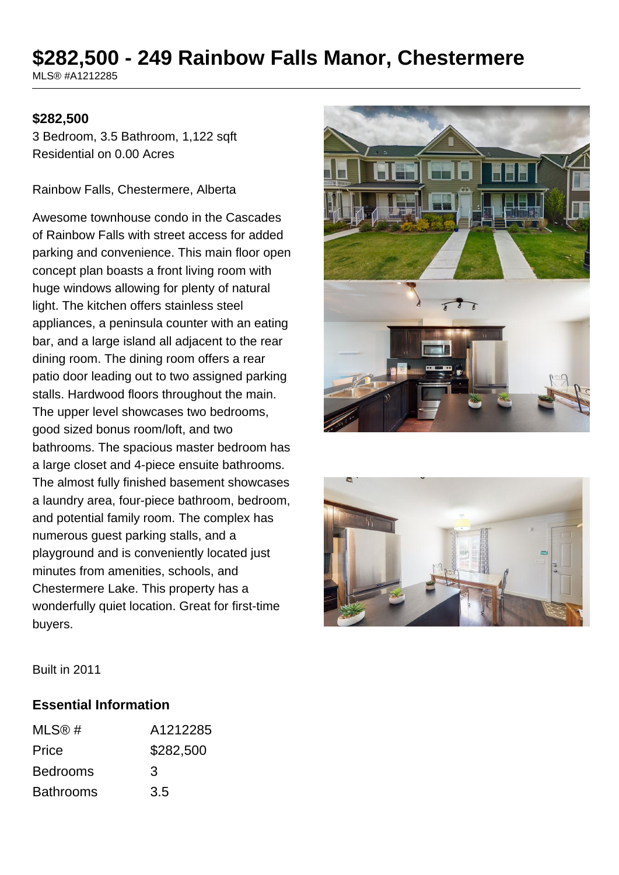# **\$282,500 - 249 Rainbow Falls Manor, Chestermere**

MLS® #A1212285

#### **\$282,500**

3 Bedroom, 3.5 Bathroom, 1,122 sqft Residential on 0.00 Acres

Rainbow Falls, Chestermere, Alberta

Awesome townhouse condo in the Cascades of Rainbow Falls with street access for added parking and convenience. This main floor open concept plan boasts a front living room with huge windows allowing for plenty of natural light. The kitchen offers stainless steel appliances, a peninsula counter with an eating bar, and a large island all adjacent to the rear dining room. The dining room offers a rear patio door leading out to two assigned parking stalls. Hardwood floors throughout the main. The upper level showcases two bedrooms, good sized bonus room/loft, and two bathrooms. The spacious master bedroom has a large closet and 4-piece ensuite bathrooms. The almost fully finished basement showcases a laundry area, four-piece bathroom, bedroom, and potential family room. The complex has numerous guest parking stalls, and a playground and is conveniently located just minutes from amenities, schools, and Chestermere Lake. This property has a wonderfully quiet location. Great for first-time buyers.





Built in 2011

#### **Essential Information**

| MLS@#            | A1212285  |
|------------------|-----------|
| Price            | \$282,500 |
| <b>Bedrooms</b>  | 3         |
| <b>Bathrooms</b> | 3.5       |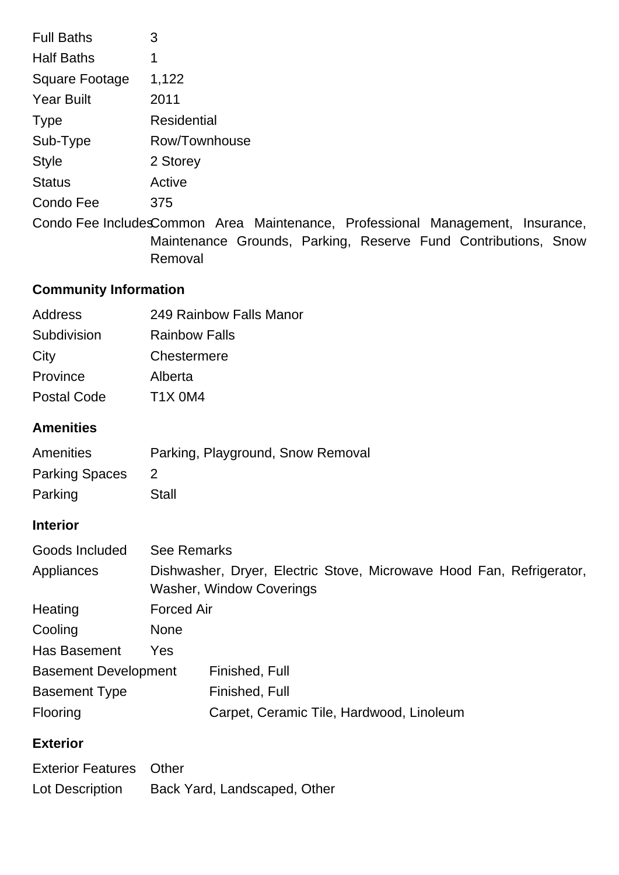| <b>Full Baths</b>            | 3                                                                                                                                                           |  |
|------------------------------|-------------------------------------------------------------------------------------------------------------------------------------------------------------|--|
| <b>Half Baths</b>            | 1                                                                                                                                                           |  |
| Square Footage               | 1,122                                                                                                                                                       |  |
| <b>Year Built</b>            | 2011                                                                                                                                                        |  |
| <b>Type</b>                  | <b>Residential</b>                                                                                                                                          |  |
| Sub-Type                     | Row/Townhouse                                                                                                                                               |  |
| <b>Style</b>                 | 2 Storey                                                                                                                                                    |  |
| <b>Status</b>                | Active                                                                                                                                                      |  |
| Condo Fee                    | 375                                                                                                                                                         |  |
|                              | Condo Fee IncludesCommon Area Maintenance, Professional Management, Insurance,<br>Maintenance Grounds, Parking, Reserve Fund Contributions, Snow<br>Removal |  |
| <b>Community Information</b> |                                                                                                                                                             |  |
| <b>Address</b>               | 249 Rainbow Falls Manor                                                                                                                                     |  |
| Subdivision                  | <b>Rainbow Falls</b>                                                                                                                                        |  |
| City                         | Chestermere                                                                                                                                                 |  |
| Province                     | Alberta                                                                                                                                                     |  |
| <b>Postal Code</b>           | <b>T1X 0M4</b>                                                                                                                                              |  |
| <b>Amenities</b>             |                                                                                                                                                             |  |
| Amenities                    | Parking, Playground, Snow Removal                                                                                                                           |  |
| <b>Parking Spaces</b>        | 2                                                                                                                                                           |  |
| Parking                      | <b>Stall</b>                                                                                                                                                |  |

## **Interior**

| Goods Included              | <b>See Remarks</b>                                                                                      |                                          |  |
|-----------------------------|---------------------------------------------------------------------------------------------------------|------------------------------------------|--|
| Appliances                  | Dishwasher, Dryer, Electric Stove, Microwave Hood Fan, Refrigerator,<br><b>Washer, Window Coverings</b> |                                          |  |
| Heating                     | <b>Forced Air</b>                                                                                       |                                          |  |
| Cooling                     | <b>None</b>                                                                                             |                                          |  |
| <b>Has Basement</b>         | Yes                                                                                                     |                                          |  |
| <b>Basement Development</b> |                                                                                                         | Finished, Full                           |  |
| <b>Basement Type</b>        |                                                                                                         | Finished, Full                           |  |
| Flooring                    |                                                                                                         | Carpet, Ceramic Tile, Hardwood, Linoleum |  |

## **Exterior**

| <b>Exterior Features</b> Other |                              |
|--------------------------------|------------------------------|
| Lot Description                | Back Yard, Landscaped, Other |